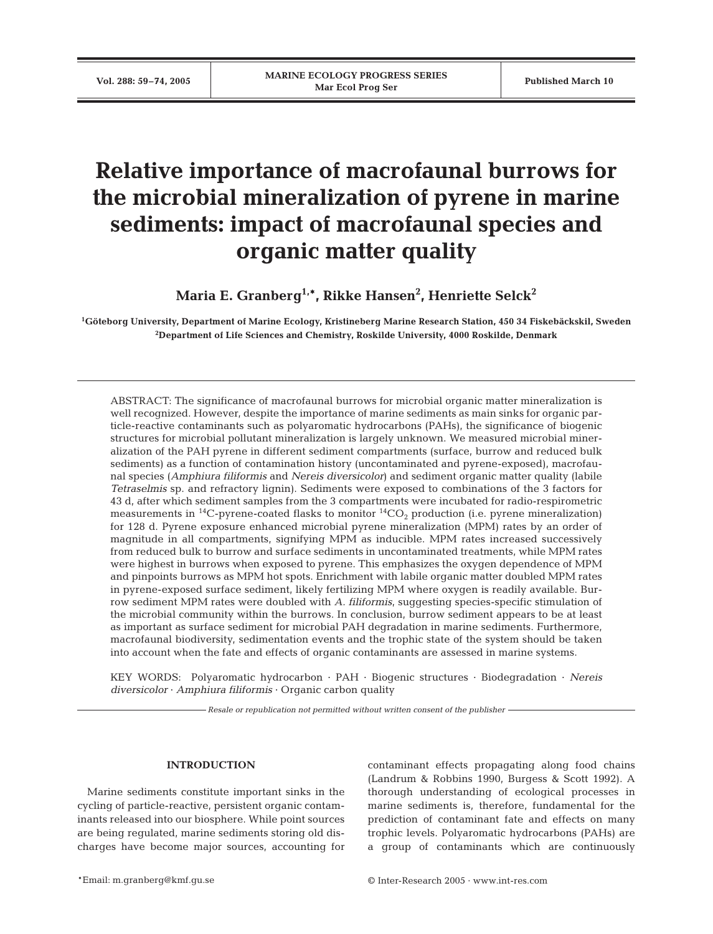# **Relative importance of macrofaunal burrows for the microbial mineralization of pyrene in marine sediments: impact of macrofaunal species and organic matter quality**

**Maria E. Granberg1,\*, Rikke Hansen2 , Henriette Selck2**

**1 Göteborg University, Department of Marine Ecology, Kristineberg Marine Research Station, 450 34 Fiskebäckskil, Sweden 2 Department of Life Sciences and Chemistry, Roskilde University, 4000 Roskilde, Denmark**

ABSTRACT: The significance of macrofaunal burrows for microbial organic matter mineralization is well recognized. However, despite the importance of marine sediments as main sinks for organic particle-reactive contaminants such as polyaromatic hydrocarbons (PAHs), the significance of biogenic structures for microbial pollutant mineralization is largely unknown. We measured microbial mineralization of the PAH pyrene in different sediment compartments (surface, burrow and reduced bulk sediments) as a function of contamination history (uncontaminated and pyrene-exposed), macrofaunal species (*Amphiura filiformis* and *Nereis diversicolor*) and sediment organic matter quality (labile *Tetraselmis* sp. and refractory lignin). Sediments were exposed to combinations of the 3 factors for 43 d, after which sediment samples from the 3 compartments were incubated for radio-respirometric measurements in  $^{14}$ C-pyrene-coated flasks to monitor  $^{14}$ CO<sub>2</sub> production (i.e. pyrene mineralization) for 128 d. Pyrene exposure enhanced microbial pyrene mineralization (MPM) rates by an order of magnitude in all compartments, signifying MPM as inducible. MPM rates increased successively from reduced bulk to burrow and surface sediments in uncontaminated treatments, while MPM rates were highest in burrows when exposed to pyrene. This emphasizes the oxygen dependence of MPM and pinpoints burrows as MPM hot spots. Enrichment with labile organic matter doubled MPM rates in pyrene-exposed surface sediment, likely fertilizing MPM where oxygen is readily available. Burrow sediment MPM rates were doubled with *A. filiformis*, suggesting species-specific stimulation of the microbial community within the burrows. In conclusion, burrow sediment appears to be at least as important as surface sediment for microbial PAH degradation in marine sediments. Furthermore, macrofaunal biodiversity, sedimentation events and the trophic state of the system should be taken into account when the fate and effects of organic contaminants are assessed in marine systems.

KEY WORDS: Polyaromatic hydrocarbon · PAH · Biogenic structures · Biodegradation · *Nereis diversicolor* · *Amphiura filiformis* · Organic carbon quality

*Resale or republication not permitted without written consent of the publisher*

## **INTRODUCTION**

Marine sediments constitute important sinks in the cycling of particle-reactive, persistent organic contaminants released into our biosphere. While point sources are being regulated, marine sediments storing old discharges have become major sources, accounting for contaminant effects propagating along food chains (Landrum & Robbins 1990, Burgess & Scott 1992). A thorough understanding of ecological processes in marine sediments is, therefore, fundamental for the prediction of contaminant fate and effects on many trophic levels. Polyaromatic hydrocarbons (PAHs) are a group of contaminants which are continuously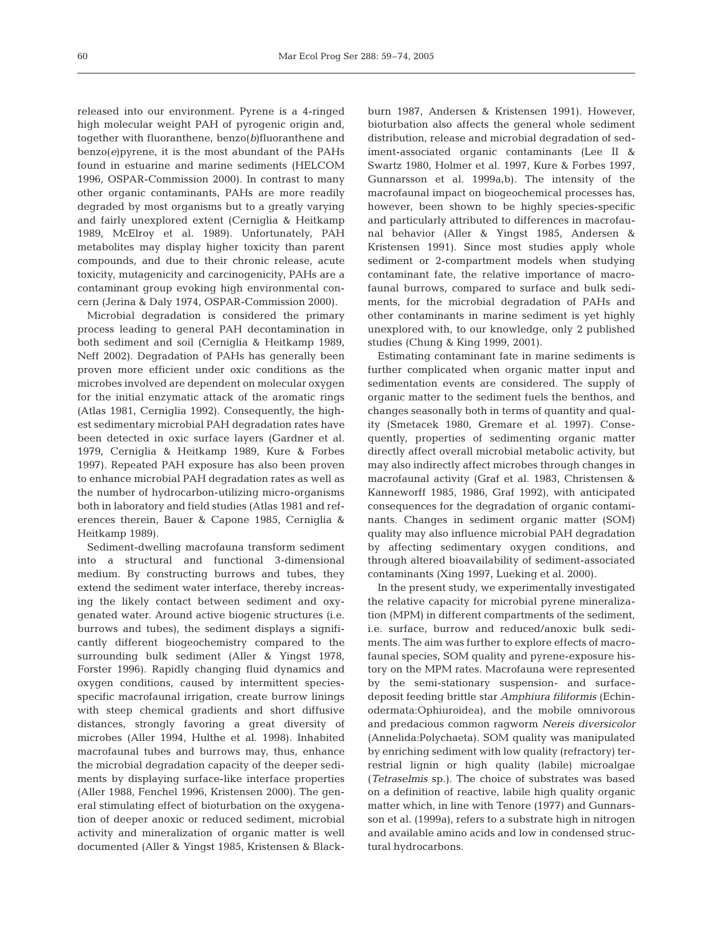released into our environment. Pyrene is a 4-ringed high molecular weight PAH of pyrogenic origin and, together with fluoranthene, benzo(*b*)fluoranthene and benzo(*e*)pyrene, it is the most abundant of the PAHs found in estuarine and marine sediments (HELCOM 1996, OSPAR-Commission 2000). In contrast to many other organic contaminants, PAHs are more readily degraded by most organisms but to a greatly varying and fairly unexplored extent (Cerniglia & Heitkamp 1989, McElroy et al. 1989). Unfortunately, PAH metabolites may display higher toxicity than parent compounds, and due to their chronic release, acute toxicity, mutagenicity and carcinogenicity, PAHs are a contaminant group evoking high environmental concern (Jerina & Daly 1974, OSPAR-Commission 2000).

Microbial degradation is considered the primary process leading to general PAH decontamination in both sediment and soil (Cerniglia & Heitkamp 1989, Neff 2002). Degradation of PAHs has generally been proven more efficient under oxic conditions as the microbes involved are dependent on molecular oxygen for the initial enzymatic attack of the aromatic rings (Atlas 1981, Cerniglia 1992). Consequently, the highest sedimentary microbial PAH degradation rates have been detected in oxic surface layers (Gardner et al. 1979, Cerniglia & Heitkamp 1989, Kure & Forbes 1997). Repeated PAH exposure has also been proven to enhance microbial PAH degradation rates as well as the number of hydrocarbon-utilizing micro-organisms both in laboratory and field studies (Atlas 1981 and references therein, Bauer & Capone 1985, Cerniglia & Heitkamp 1989).

Sediment-dwelling macrofauna transform sediment into a structural and functional 3-dimensional medium. By constructing burrows and tubes, they extend the sediment water interface, thereby increasing the likely contact between sediment and oxygenated water. Around active biogenic structures (i.e. burrows and tubes), the sediment displays a significantly different biogeochemistry compared to the surrounding bulk sediment (Aller & Yingst 1978, Forster 1996). Rapidly changing fluid dynamics and oxygen conditions, caused by intermittent speciesspecific macrofaunal irrigation, create burrow linings with steep chemical gradients and short diffusive distances, strongly favoring a great diversity of microbes (Aller 1994, Hulthe et al. 1998). Inhabited macrofaunal tubes and burrows may, thus, enhance the microbial degradation capacity of the deeper sediments by displaying surface-like interface properties (Aller 1988, Fenchel 1996, Kristensen 2000). The general stimulating effect of bioturbation on the oxygenation of deeper anoxic or reduced sediment, microbial activity and mineralization of organic matter is well documented (Aller & Yingst 1985, Kristensen & Blackburn 1987, Andersen & Kristensen 1991). However, bioturbation also affects the general whole sediment distribution, release and microbial degradation of sediment-associated organic contaminants (Lee II & Swartz 1980, Holmer et al. 1997, Kure & Forbes 1997, Gunnarsson et al. 1999a,b). The intensity of the macrofaunal impact on biogeochemical processes has, however, been shown to be highly species-specific and particularly attributed to differences in macrofaunal behavior (Aller & Yingst 1985, Andersen & Kristensen 1991). Since most studies apply whole sediment or 2-compartment models when studying contaminant fate, the relative importance of macrofaunal burrows, compared to surface and bulk sediments, for the microbial degradation of PAHs and other contaminants in marine sediment is yet highly unexplored with, to our knowledge, only 2 published studies (Chung & King 1999, 2001).

Estimating contaminant fate in marine sediments is further complicated when organic matter input and sedimentation events are considered. The supply of organic matter to the sediment fuels the benthos, and changes seasonally both in terms of quantity and quality (Smetacek 1980, Gremare et al. 1997). Consequently, properties of sedimenting organic matter directly affect overall microbial metabolic activity, but may also indirectly affect microbes through changes in macrofaunal activity (Graf et al. 1983, Christensen & Kanneworff 1985, 1986, Graf 1992), with anticipated consequences for the degradation of organic contaminants. Changes in sediment organic matter (SOM) quality may also influence microbial PAH degradation by affecting sedimentary oxygen conditions, and through altered bioavailability of sediment-associated contaminants (Xing 1997, Lueking et al. 2000).

In the present study, we experimentally investigated the relative capacity for microbial pyrene mineralization (MPM) in different compartments of the sediment, i.e. surface, burrow and reduced/anoxic bulk sediments. The aim was further to explore effects of macrofaunal species, SOM quality and pyrene-exposure history on the MPM rates. Macrofauna were represented by the semi-stationary suspension- and surfacedeposit feeding brittle star *Amphiura filiformis* (Echinodermata:Ophiuroidea), and the mobile omnivorous and predacious common ragworm *Nereis diversicolor* (Annelida:Polychaeta). SOM quality was manipulated by enriching sediment with low quality (refractory) terrestrial lignin or high quality (labile) microalgae (*Tetraselmis* sp.). The choice of substrates was based on a definition of reactive, labile high quality organic matter which, in line with Tenore (1977) and Gunnarsson et al. (1999a), refers to a substrate high in nitrogen and available amino acids and low in condensed structural hydrocarbons.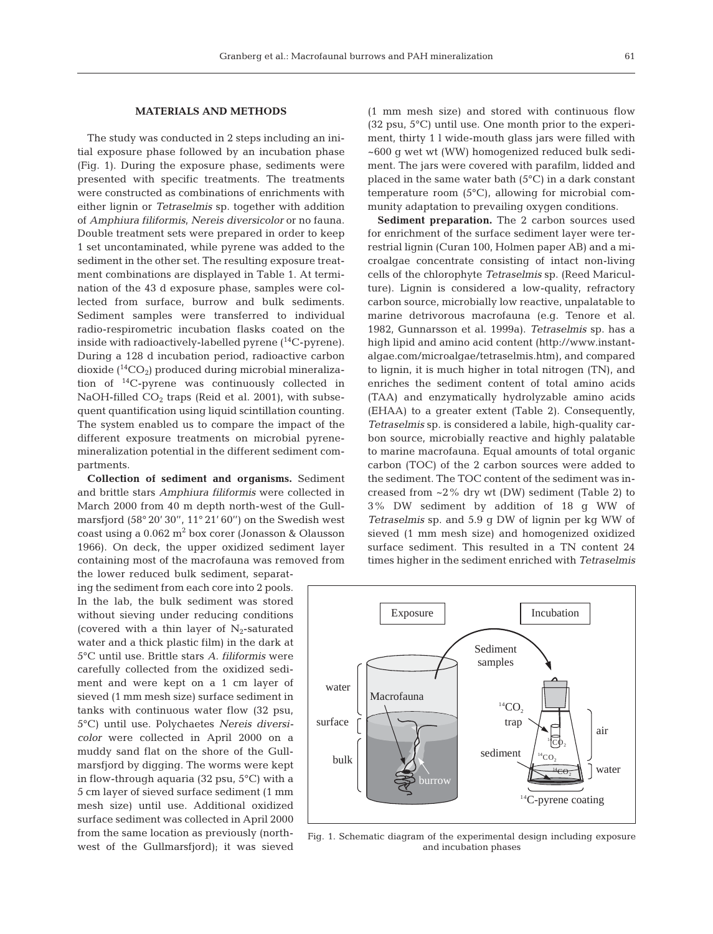## **MATERIALS AND METHODS**

The study was conducted in 2 steps including an initial exposure phase followed by an incubation phase (Fig. 1). During the exposure phase, sediments were presented with specific treatments. The treatments were constructed as combinations of enrichments with either lignin or *Tetraselmis* sp. together with addition of *Amphiura filiformis*, *Nereis diversicolor* or no fauna. Double treatment sets were prepared in order to keep 1 set uncontaminated, while pyrene was added to the sediment in the other set. The resulting exposure treatment combinations are displayed in Table 1. At termination of the 43 d exposure phase, samples were collected from surface, burrow and bulk sediments. Sediment samples were transferred to individual radio-respirometric incubation flasks coated on the inside with radioactively-labelled pyrene  $(^{14}C$ -pyrene). During a 128 d incubation period, radioactive carbon dioxide  $(^{14}CO<sub>2</sub>)$  produced during microbial mineralization of 14C-pyrene was continuously collected in NaOH-filled  $CO<sub>2</sub>$  traps (Reid et al. 2001), with subsequent quantification using liquid scintillation counting. The system enabled us to compare the impact of the different exposure treatments on microbial pyrenemineralization potential in the different sediment compartments.

**Collection of sediment and organisms.** Sediment and brittle stars *Amphiura filiformis* were collected in March 2000 from 40 m depth north-west of the Gullmarsfjord (58° 20' 30'', 11° 21' 60'') on the Swedish west coast using a  $0.062$  m<sup>2</sup> box corer (Jonasson & Olausson 1966). On deck, the upper oxidized sediment layer containing most of the macrofauna was removed from the lower reduced bulk sediment, separat-

ing the sediment from each core into 2 pools. In the lab, the bulk sediment was stored without sieving under reducing conditions (covered with a thin layer of  $N_2$ -saturated water and a thick plastic film) in the dark at 5°C until use. Brittle stars *A. filiformis* were carefully collected from the oxidized sediment and were kept on a 1 cm layer of sieved (1 mm mesh size) surface sediment in tanks with continuous water flow (32 psu, 5°C) until use. Polychaetes *Nereis diversicolor* were collected in April 2000 on a muddy sand flat on the shore of the Gullmarsfjord by digging. The worms were kept in flow-through aquaria (32 psu, 5°C) with a 5 cm layer of sieved surface sediment (1 mm mesh size) until use. Additional oxidized surface sediment was collected in April 2000 from the same location as previously (northwest of the Gullmarsfjord); it was sieved (1 mm mesh size) and stored with continuous flow (32 psu, 5°C) until use. One month prior to the experiment, thirty 1 l wide-mouth glass jars were filled with ~600 g wet wt (WW) homogenized reduced bulk sediment. The jars were covered with parafilm, lidded and placed in the same water bath (5°C) in a dark constant temperature room (5°C), allowing for microbial community adaptation to prevailing oxygen conditions.

**Sediment preparation.** The 2 carbon sources used for enrichment of the surface sediment layer were terrestrial lignin (Curan 100, Holmen paper AB) and a microalgae concentrate consisting of intact non-living cells of the chlorophyte *Tetraselmis* sp. (Reed Mariculture). Lignin is considered a low-quality, refractory carbon source, microbially low reactive, unpalatable to marine detrivorous macrofauna (e.g. Tenore et al. 1982, Gunnarsson et al. 1999a). *Tetraselmis* sp. has a high lipid and amino acid content (http://www.instantalgae.com/microalgae/tetraselmis.htm), and compared to lignin, it is much higher in total nitrogen (TN), and enriches the sediment content of total amino acids (TAA) and enzymatically hydrolyzable amino acids (EHAA) to a greater extent (Table 2). Consequently, *Tetraselmis* sp. is considered a labile, high-quality carbon source, microbially reactive and highly palatable to marine macrofauna. Equal amounts of total organic carbon (TOC) of the 2 carbon sources were added to the sediment. The TOC content of the sediment was increased from  $\sim$ 2% dry wt (DW) sediment (Table 2) to 3% DW sediment by addition of 18 g WW of *Tetraselmis* sp. and 5.9 g DW of lignin per kg WW of sieved (1 mm mesh size) and homogenized oxidized surface sediment. This resulted in a TN content 24 times higher in the sediment enriched with *Tetraselmis*



Fig. 1. Schematic diagram of the experimental design including exposure and incubation phases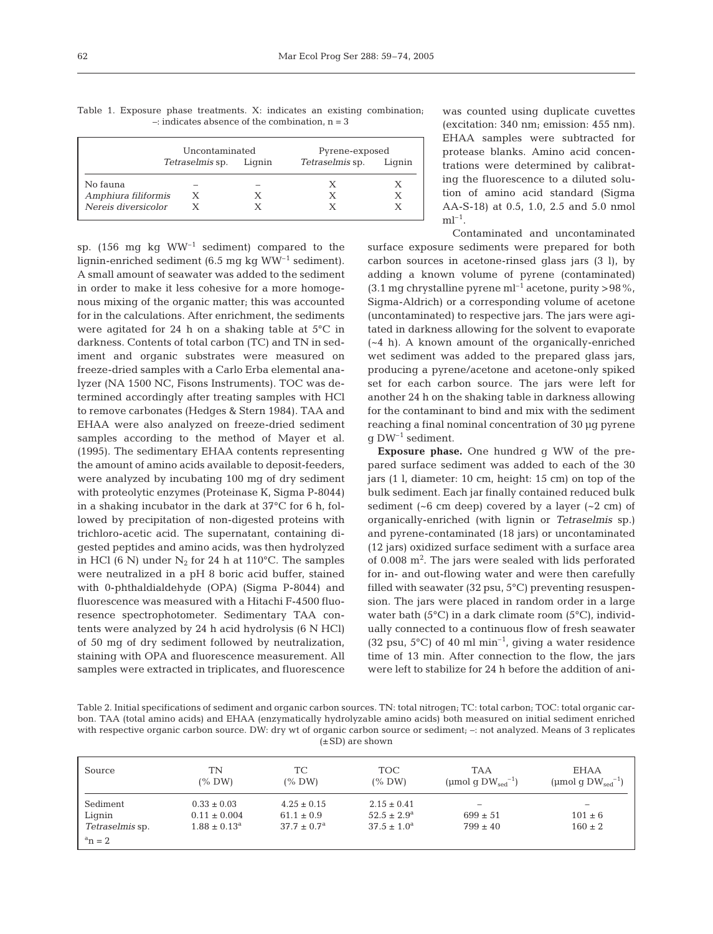|                     | Uncontaminated         | Pyrene-exposed         |        |  |
|---------------------|------------------------|------------------------|--------|--|
|                     | Tetraselmis sp. Liqnin | <i>Tetraselmis</i> sp. | Lignin |  |
| No fauna            |                        |                        |        |  |
| Amphiura filiformis | Х                      |                        |        |  |
| Nereis diversicolor |                        |                        |        |  |

Table 1. Exposure phase treatments. X: indicates an existing combination;  $-$ : indicates absence of the combination,  $n = 3$ 

sp. (156 mg kg  $WW^{-1}$  sediment) compared to the lignin-enriched sediment (6.5 mg kg  $WW^{-1}$  sediment). A small amount of seawater was added to the sediment in order to make it less cohesive for a more homogenous mixing of the organic matter; this was accounted for in the calculations. After enrichment, the sediments were agitated for 24 h on a shaking table at 5°C in darkness. Contents of total carbon (TC) and TN in sediment and organic substrates were measured on freeze-dried samples with a Carlo Erba elemental analyzer (NA 1500 NC, Fisons Instruments). TOC was determined accordingly after treating samples with HCl to remove carbonates (Hedges & Stern 1984). TAA and EHAA were also analyzed on freeze-dried sediment samples according to the method of Mayer et al. (1995). The sedimentary EHAA contents representing the amount of amino acids available to deposit-feeders, were analyzed by incubating 100 mg of dry sediment with proteolytic enzymes (Proteinase K, Sigma P-8044) in a shaking incubator in the dark at 37°C for 6 h, followed by precipitation of non-digested proteins with trichloro-acetic acid. The supernatant, containing digested peptides and amino acids, was then hydrolyzed in HCl (6 N) under  $N_2$  for 24 h at 110°C. The samples were neutralized in a pH 8 boric acid buffer, stained with 0-phthaldialdehyde (OPA) (Sigma P-8044) and fluorescence was measured with a Hitachi F-4500 fluoresence spectrophotometer. Sedimentary TAA contents were analyzed by 24 h acid hydrolysis (6 N HCl) of 50 mg of dry sediment followed by neutralization, staining with OPA and fluorescence measurement. All samples were extracted in triplicates, and fluorescence

was counted using duplicate cuvettes (excitation: 340 nm; emission: 455 nm). EHAA samples were subtracted for protease blanks. Amino acid concentrations were determined by calibrating the fluorescence to a diluted solution of amino acid standard (Sigma AA-S-18) at 0.5, 1.0, 2.5 and 5.0 nmol  $ml^{-1}$ .

Contaminated and uncontaminated

surface exposure sediments were prepared for both carbon sources in acetone-rinsed glass jars (3 l), by adding a known volume of pyrene (contaminated) (3.1 mg chrystalline pyrene ml<sup>-1</sup> acetone, purity >98%, Sigma-Aldrich) or a corresponding volume of acetone (uncontaminated) to respective jars. The jars were agitated in darkness allowing for the solvent to evaporate (~4 h). A known amount of the organically-enriched wet sediment was added to the prepared glass jars, producing a pyrene/acetone and acetone-only spiked set for each carbon source. The jars were left for another 24 h on the shaking table in darkness allowing for the contaminant to bind and mix with the sediment reaching a final nominal concentration of 30 µg pyrene  $q$  DW<sup>-1</sup> sediment.

**Exposure phase.** One hundred g WW of the prepared surface sediment was added to each of the 30 jars (1 l, diameter: 10 cm, height: 15 cm) on top of the bulk sediment. Each jar finally contained reduced bulk sediment  $(-6 \text{ cm deep})$  covered by a layer  $(-2 \text{ cm})$  of organically-enriched (with lignin or *Tetraselmis* sp.) and pyrene-contaminated (18 jars) or uncontaminated (12 jars) oxidized surface sediment with a surface area of 0.008 m<sup>2</sup>. The jars were sealed with lids perforated for in- and out-flowing water and were then carefully filled with seawater  $(32 \text{ psu}, 5^{\circ} \text{C})$  preventing resuspension. The jars were placed in random order in a large water bath (5°C) in a dark climate room (5°C), individually connected to a continuous flow of fresh seawater (32 psu,  $5^{\circ}$ C) of 40 ml min<sup>-1</sup>, giving a water residence time of 13 min. After connection to the flow, the jars were left to stabilize for 24 h before the addition of ani-

Table 2. Initial specifications of sediment and organic carbon sources. TN: total nitrogen; TC: total carbon; TOC: total organic carbon. TAA (total amino acids) and EHAA (enzymatically hydrolyzable amino acids) both measured on initial sediment enriched with respective organic carbon source. DW: dry wt of organic carbon source or sediment; –: not analyzed. Means of 3 replicates  $(\pm SD)$  are shown

| Source                 | TN<br>$(\%$ DW)   | TC.<br>(% DW)          | <b>TOC</b><br>$(\%$ DW) | <b>TAA</b><br>(µmol q $DW_{\text{sed}}^{-1}$ ) | EHAA<br>(µmol g $DW_{\text{sed}}^{-1}$ ) |
|------------------------|-------------------|------------------------|-------------------------|------------------------------------------------|------------------------------------------|
| Sediment               | $0.33 \pm 0.03$   | $4.25 \pm 0.15$        | $2.15 \pm 0.41$         | $\overline{\phantom{a}}$                       | $\overline{\phantom{a}}$                 |
| Lignin                 | $0.11 \pm 0.004$  | $61.1 \pm 0.9$         | $52.5 \pm 2.9^{\rm a}$  | $699 \pm 51$                                   | $101 \pm 6$                              |
| <i>Tetraselmis</i> sp. | $1.88 \pm 0.13^a$ | $37.7 \pm 0.7^{\rm a}$ | $37.5 \pm 1.0^a$        | $799 \pm 40$                                   | $160 \pm 2$                              |
| $a_n = 2$              |                   |                        |                         |                                                |                                          |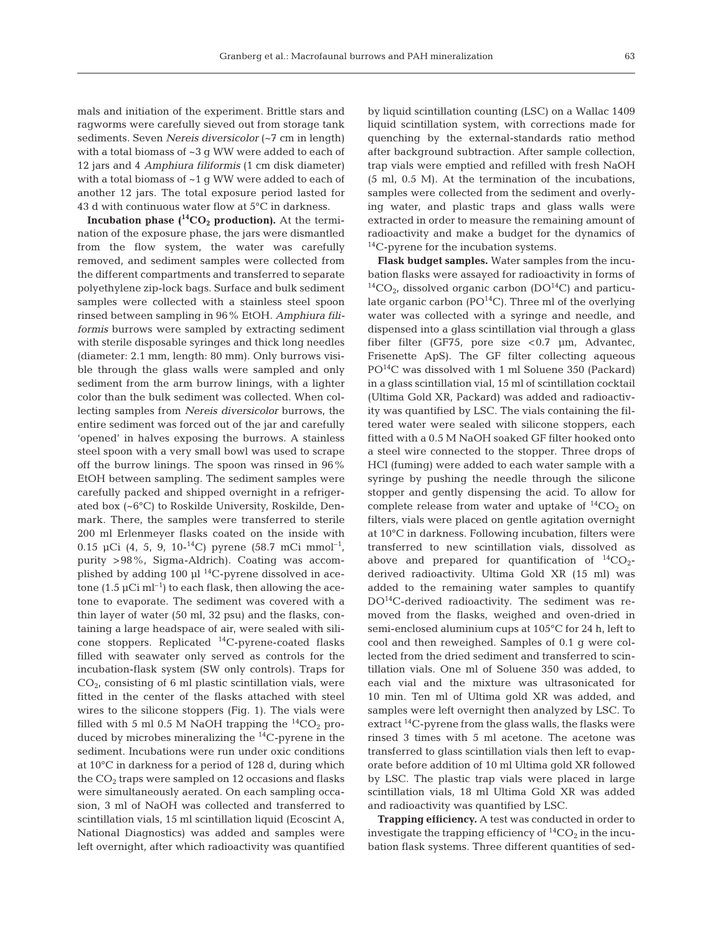mals and initiation of the experiment. Brittle stars and ragworms were carefully sieved out from storage tank sediments. Seven *Nereis diversicolor* (~7 cm in length) with a total biomass of ~3 g WW were added to each of 12 jars and 4 *Amphiura filiformis* (1 cm disk diameter) with a total biomass of ~1 g WW were added to each of another 12 jars. The total exposure period lasted for 43 d with continuous water flow at 5°C in darkness.

**Incubation phase**  $(^{14}CO_{2}$  **production).** At the termination of the exposure phase, the jars were dismantled from the flow system, the water was carefully removed, and sediment samples were collected from the different compartments and transferred to separate polyethylene zip-lock bags. Surface and bulk sediment samples were collected with a stainless steel spoon rinsed between sampling in 96% EtOH. *Amphiura filiformis* burrows were sampled by extracting sediment with sterile disposable syringes and thick long needles (diameter: 2.1 mm, length: 80 mm). Only burrows visible through the glass walls were sampled and only sediment from the arm burrow linings, with a lighter color than the bulk sediment was collected. When collecting samples from *Nereis diversicolor* burrows, the entire sediment was forced out of the jar and carefully 'opened' in halves exposing the burrows. A stainless steel spoon with a very small bowl was used to scrape off the burrow linings. The spoon was rinsed in 96% EtOH between sampling. The sediment samples were carefully packed and shipped overnight in a refrigerated box (~6°C) to Roskilde University, Roskilde, Denmark. There, the samples were transferred to sterile 200 ml Erlenmeyer flasks coated on the inside with 0.15 µCi (4, 5, 9, 10-<sup>14</sup>C) pyrene (58.7 mCi mmol<sup>-1</sup>, purity >98%, Sigma-Aldrich). Coating was accomplished by adding 100  $\mu$ l<sup>14</sup>C-pyrene dissolved in acetone  $(1.5 \,\mu\mathrm{Ci} \,\mathrm{m} \mathrm{l}^{-1})$  to each flask, then allowing the acetone to evaporate. The sediment was covered with a thin layer of water (50 ml, 32 psu) and the flasks, containing a large headspace of air, were sealed with silicone stoppers. Replicated 14C-pyrene-coated flasks filled with seawater only served as controls for the incubation-flask system (SW only controls). Traps for  $CO<sub>2</sub>$ , consisting of 6 ml plastic scintillation vials, were fitted in the center of the flasks attached with steel wires to the silicone stoppers (Fig. 1). The vials were filled with 5 ml 0.5 M NaOH trapping the  ${}^{14}CO_2$  produced by microbes mineralizing the  ${}^{14}C$ -pyrene in the sediment. Incubations were run under oxic conditions at 10°C in darkness for a period of 128 d, during which the  $CO<sub>2</sub>$  traps were sampled on 12 occasions and flasks were simultaneously aerated. On each sampling occasion, 3 ml of NaOH was collected and transferred to scintillation vials, 15 ml scintillation liquid (Ecoscint A, National Diagnostics) was added and samples were left overnight, after which radioactivity was quantified

by liquid scintillation counting (LSC) on a Wallac 1409 liquid scintillation system, with corrections made for quenching by the external-standards ratio method after background subtraction. After sample collection, trap vials were emptied and refilled with fresh NaOH (5 ml, 0.5 M). At the termination of the incubations, samples were collected from the sediment and overlying water, and plastic traps and glass walls were extracted in order to measure the remaining amount of radioactivity and make a budget for the dynamics of  $^{14}$ C-pyrene for the incubation systems.

**Flask budget samples.** Water samples from the incubation flasks were assayed for radioactivity in forms of  ${}^{14}CO_{2}$ , dissolved organic carbon (DO<sup>14</sup>C) and particulate organic carbon ( $PO^{14}C$ ). Three ml of the overlying water was collected with a syringe and needle, and dispensed into a glass scintillation vial through a glass fiber filter (GF75, pore size <0.7 µm, Advantec, Frisenette ApS). The GF filter collecting aqueous  $PO<sup>14</sup>C$  was dissolved with 1 ml Soluene 350 (Packard) in a glass scintillation vial, 15 ml of scintillation cocktail (Ultima Gold XR, Packard) was added and radioactivity was quantified by LSC. The vials containing the filtered water were sealed with silicone stoppers, each fitted with a 0.5 M NaOH soaked GF filter hooked onto a steel wire connected to the stopper. Three drops of HCl (fuming) were added to each water sample with a syringe by pushing the needle through the silicone stopper and gently dispensing the acid. To allow for complete release from water and uptake of  ${}^{14}CO_2$  on filters, vials were placed on gentle agitation overnight at 10°C in darkness. Following incubation, filters were transferred to new scintillation vials, dissolved as above and prepared for quantification of  ${}^{14}CO_{2}$ derived radioactivity. Ultima Gold XR (15 ml) was added to the remaining water samples to quantify  $DO<sup>14</sup>C$ -derived radioactivity. The sediment was removed from the flasks, weighed and oven-dried in semi-enclosed aluminium cups at 105°C for 24 h, left to cool and then reweighed. Samples of 0.1 g were collected from the dried sediment and transferred to scintillation vials. One ml of Soluene 350 was added, to each vial and the mixture was ultrasonicated for 10 min. Ten ml of Ultima gold XR was added, and samples were left overnight then analyzed by LSC. To extract <sup>14</sup>C-pyrene from the glass walls, the flasks were rinsed 3 times with 5 ml acetone. The acetone was transferred to glass scintillation vials then left to evaporate before addition of 10 ml Ultima gold XR followed by LSC. The plastic trap vials were placed in large scintillation vials, 18 ml Ultima Gold XR was added and radioactivity was quantified by LSC.

**Trapping efficiency.** A test was conducted in order to investigate the trapping efficiency of  ${}^{14}CO_2$  in the incubation flask systems. Three different quantities of sed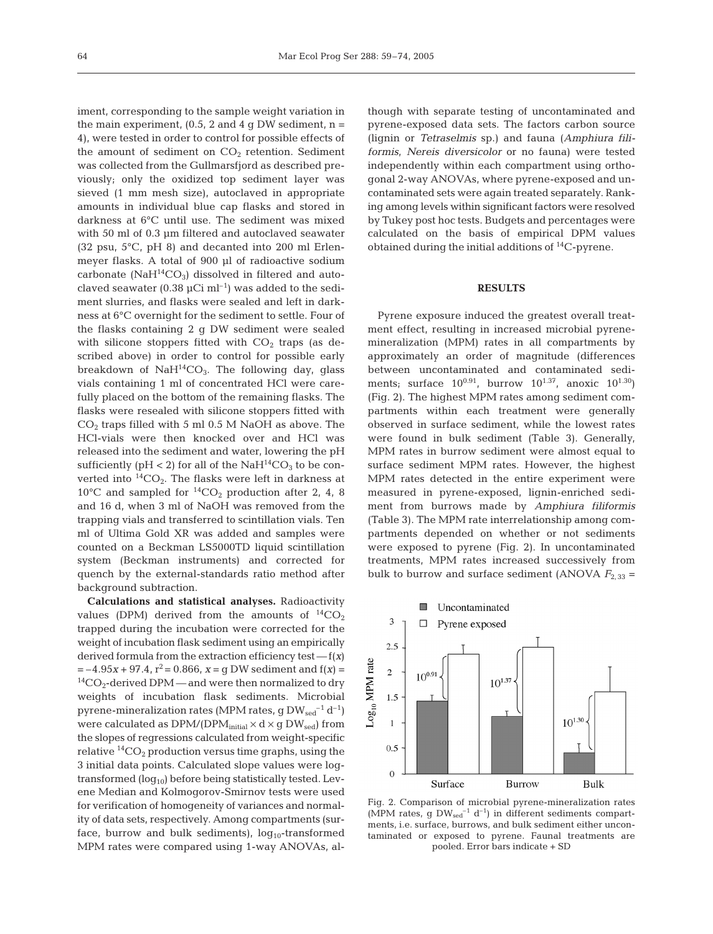iment, corresponding to the sample weight variation in the main experiment,  $(0.5, 2 \text{ and } 4 \text{ q DW sediment}, n =$ 4), were tested in order to control for possible effects of the amount of sediment on  $CO<sub>2</sub>$  retention. Sediment was collected from the Gullmarsfjord as described previously; only the oxidized top sediment layer was sieved (1 mm mesh size), autoclaved in appropriate amounts in individual blue cap flasks and stored in darkness at 6°C until use. The sediment was mixed with 50 ml of 0.3 µm filtered and autoclaved seawater (32 psu, 5°C, pH 8) and decanted into 200 ml Erlenmeyer flasks. A total of 900 µl of radioactive sodium carbonate ( $NAH^{14}CO_3$ ) dissolved in filtered and autoclaved seawater  $(0.38 \mu \text{Ci} \text{ ml}^{-1})$  was added to the sediment slurries, and flasks were sealed and left in darkness at 6°C overnight for the sediment to settle. Four of the flasks containing 2 g DW sediment were sealed with silicone stoppers fitted with  $CO<sub>2</sub>$  traps (as described above) in order to control for possible early breakdown of  $NaH^{14}CO_3$ . The following day, glass vials containing 1 ml of concentrated HCl were carefully placed on the bottom of the remaining flasks. The flasks were resealed with silicone stoppers fitted with  $CO<sub>2</sub>$  traps filled with 5 ml 0.5 M NaOH as above. The HCl-vials were then knocked over and HCl was released into the sediment and water, lowering the pH sufficiently (pH < 2) for all of the Na $H^{14}CO_3$  to be converted into  ${}^{14}CO_2$ . The flasks were left in darkness at 10°C and sampled for  ${}^{14}CO_2$  production after 2, 4, 8 and 16 d, when 3 ml of NaOH was removed from the trapping vials and transferred to scintillation vials. Ten ml of Ultima Gold XR was added and samples were counted on a Beckman LS5000TD liquid scintillation system (Beckman instruments) and corrected for quench by the external-standards ratio method after background subtraction.

**Calculations and statistical analyses.** Radioactivity values (DPM) derived from the amounts of  ${}^{14}CO_2$ trapped during the incubation were corrected for the weight of incubation flask sediment using an empirically derived formula from the extraction efficiency test — f(*x*)  $=-4.95x + 97.4$ ,  $r^2 = 0.866$ ,  $x = q$  DW sediment and  $f(x) =$  ${}^{14}CO_{2}$ -derived DPM — and were then normalized to dry weights of incubation flask sediments. Microbial pyrene-mineralization rates (MPM rates, g  $DW_{\text{sed}}^{-1} d^{-1}$ ) were calculated as  $DPM/(DPM_{initial} \times d \times g DW_{sed})$  from the slopes of regressions calculated from weight-specific relative  ${}^{14}CO_2$  production versus time graphs, using the 3 initial data points. Calculated slope values were logtransformed  $(log_{10})$  before being statistically tested. Levene Median and Kolmogorov-Smirnov tests were used for verification of homogeneity of variances and normality of data sets, respectively. Among compartments (surface, burrow and bulk sediments),  $log_{10}$ -transformed MPM rates were compared using 1-way ANOVAs, although with separate testing of uncontaminated and pyrene-exposed data sets. The factors carbon source (lignin or *Tetraselmis* sp.) and fauna (*Amphiura filiformis*, *Nereis diversicolor* or no fauna) were tested independently within each compartment using orthogonal 2-way ANOVAs, where pyrene-exposed and uncontaminated sets were again treated separately. Ranking among levels within significant factors were resolved by Tukey post hoc tests. Budgets and percentages were calculated on the basis of empirical DPM values obtained during the initial additions of  $^{14}$ C-pyrene.

## **RESULTS**

Pyrene exposure induced the greatest overall treatment effect, resulting in increased microbial pyrenemineralization (MPM) rates in all compartments by approximately an order of magnitude (differences between uncontaminated and contaminated sediments; surface  $10^{0.91}$ , burrow  $10^{1.37}$ , anoxic  $10^{1.30}$ ) (Fig. 2). The highest MPM rates among sediment compartments within each treatment were generally observed in surface sediment, while the lowest rates were found in bulk sediment (Table 3). Generally, MPM rates in burrow sediment were almost equal to surface sediment MPM rates. However, the highest MPM rates detected in the entire experiment were measured in pyrene-exposed, lignin-enriched sediment from burrows made by *Amphiura filiformis* (Table 3). The MPM rate interrelationship among compartments depended on whether or not sediments were exposed to pyrene (Fig. 2). In uncontaminated treatments, MPM rates increased successively from bulk to burrow and surface sediment (ANOVA  $F_{2,33}$  =



Fig. 2. Comparison of microbial pyrene-mineralization rates (MPM rates, g  $DW_{\text{sed}}^{-1}$  d<sup>-1</sup>) in different sediments compartments, i.e. surface, burrows, and bulk sediment either uncontaminated or exposed to pyrene. Faunal treatments are pooled. Error bars indicate + SD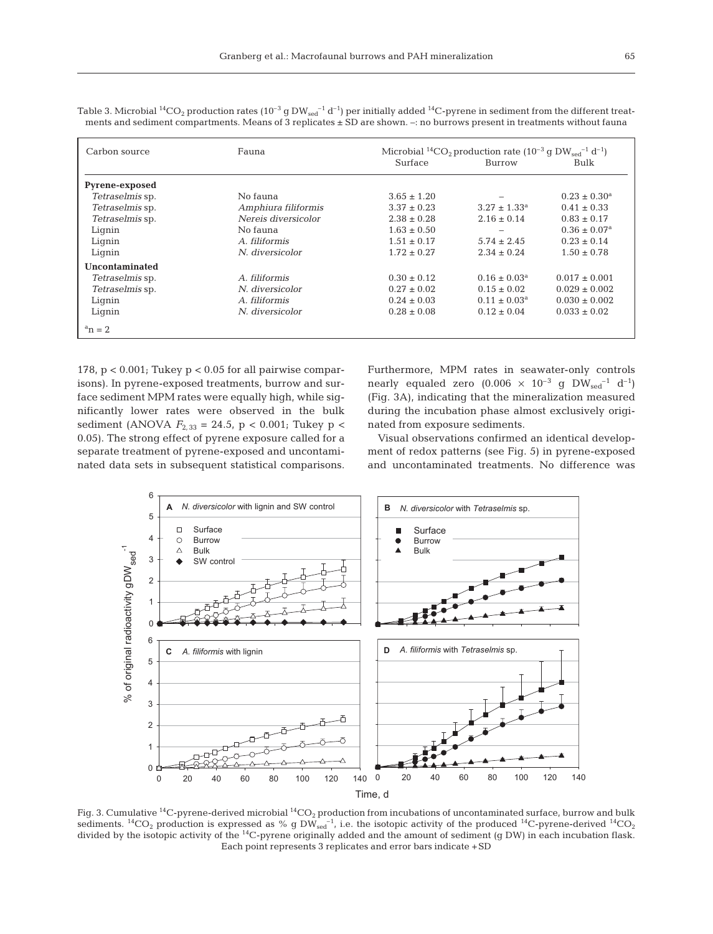| Carbon source         | Fauna               | Microbial <sup>14</sup> CO <sub>2</sub> production rate (10 <sup>-3</sup> g DW <sub>sed</sub> <sup>-1</sup> d <sup>-1</sup> ) |                         |                              |
|-----------------------|---------------------|-------------------------------------------------------------------------------------------------------------------------------|-------------------------|------------------------------|
|                       |                     | <b>Surface</b>                                                                                                                | Burrow                  | Bulk                         |
| <b>Pyrene-exposed</b> |                     |                                                                                                                               |                         |                              |
| Tetraselmis sp.       | No fauna            | $3.65 \pm 1.20$                                                                                                               |                         | $0.23 \pm 0.30^a$            |
| Tetraselmis sp.       | Amphiura filiformis | $3.37 \pm 0.23$                                                                                                               | $3.27 \pm 1.33^a$       | $0.41 \pm 0.33$              |
| Tetraselmis sp.       | Nereis diversicolor | $2.38 \pm 0.28$                                                                                                               | $2.16 \pm 0.14$         | $0.83 \pm 0.17$              |
| Lignin                | No fauna            | $1.63 \pm 0.50$                                                                                                               |                         | $0.36 \pm 0.07$ <sup>a</sup> |
| Lignin                | A. filiformis       | $1.51 \pm 0.17$                                                                                                               | $5.74 \pm 2.45$         | $0.23 \pm 0.14$              |
| Lignin                | N. diversicolor     | $1.72 \pm 0.27$                                                                                                               | $2.34 \pm 0.24$         | $1.50 \pm 0.78$              |
| Uncontaminated        |                     |                                                                                                                               |                         |                              |
| Tetraselmis sp.       | A. filiformis       | $0.30 \pm 0.12$                                                                                                               | $0.16 \pm 0.03^a$       | $0.017 \pm 0.001$            |
| Tetraselmis sp.       | N. diversicolor     | $0.27 \pm 0.02$                                                                                                               | $0.15 \pm 0.02$         | $0.029 \pm 0.002$            |
| Lignin                | A. filiformis       | $0.24 \pm 0.03$                                                                                                               | $0.11 \pm 0.03^{\rm a}$ | $0.030 \pm 0.002$            |
| Lignin                | N. diversicolor     | $0.28 \pm 0.08$                                                                                                               | $0.12 \pm 0.04$         | $0.033 \pm 0.02$             |
| $a_n = 2$             |                     |                                                                                                                               |                         |                              |

Table 3. Microbial <sup>14</sup>CO<sub>2</sub> production rates (10<sup>-3</sup> g DW<sub>sed</sub><sup>-1</sup> d<sup>-1</sup>) per initially added <sup>14</sup>C-pyrene in sediment from the different treatments and sediment compartments. Means of 3 replicates ± SD are shown. –: no burrows present in treatments without fauna

178, p < 0.001; Tukey p < 0.05 for all pairwise comparisons). In pyrene-exposed treatments, burrow and surface sediment MPM rates were equally high, while significantly lower rates were observed in the bulk sediment (ANOVA  $F_{2,33} = 24.5$ , p < 0.001; Tukey p < 0.05). The strong effect of pyrene exposure called for a separate treatment of pyrene-exposed and uncontaminated data sets in subsequent statistical comparisons. Furthermore, MPM rates in seawater-only controls nearly equaled zero  $(0.006 \times 10^{-3} \text{ g } D W_{\text{sed}}^{-1} d^{-1})$ (Fig. 3A), indicating that the mineralization measured during the incubation phase almost exclusively originated from exposure sediments.

Visual observations confirmed an identical development of redox patterns (see Fig. 5) in pyrene-exposed and uncontaminated treatments. No difference was



Fig. 3. Cumulative <sup>14</sup>C-pyrene-derived microbial <sup>14</sup>CO<sub>2</sub> production from incubations of uncontaminated surface, burrow and bulk sediments. <sup>14</sup>CO<sub>2</sub> production is expressed as % g DW<sub>sed</sub><sup>-1</sup>, i.e. the isotopic activity of the produced <sup>14</sup>C-pyrene-derived <sup>14</sup>CO<sub>2</sub> divided by the isotopic activity of the <sup>14</sup>C-pyrene originally added and the amount of sediment (g DW) in each incubation flask. Each point represents 3 replicates and error bars indicate +SD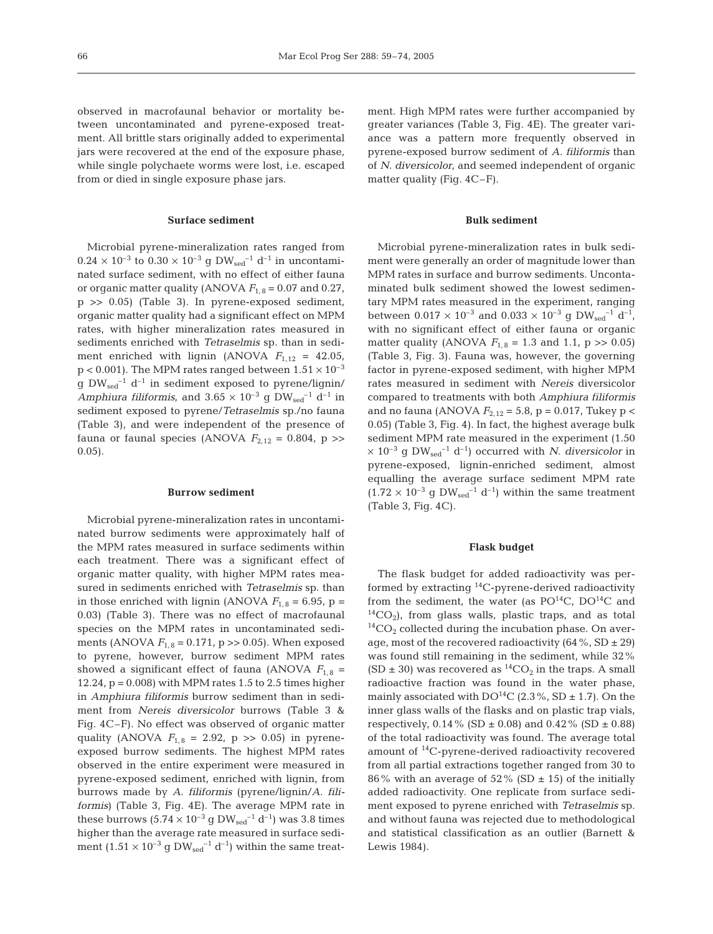observed in macrofaunal behavior or mortality between uncontaminated and pyrene-exposed treatment. All brittle stars originally added to experimental jars were recovered at the end of the exposure phase, while single polychaete worms were lost, i.e. escaped from or died in single exposure phase jars.

#### **Surface sediment**

Microbial pyrene-mineralization rates ranged from  $0.24 \times 10^{-3}$  to  $0.30 \times 10^{-3}$  g  $DW_{\text{sed}}^{-1}$  d<sup>-1</sup> in uncontaminated surface sediment, with no effect of either fauna or organic matter quality (ANOVA  $F_{1,8} = 0.07$  and 0.27, p >> 0.05) (Table 3). In pyrene-exposed sediment, organic matter quality had a significant effect on MPM rates, with higher mineralization rates measured in sediments enriched with *Tetraselmis* sp. than in sediment enriched with lignin (ANOVA  $F_{1,12} = 42.05$ ,  $p < 0.001$ ). The MPM rates ranged between  $1.51 \times 10^{-3}$ g DW<sub>sed</sub><sup>-1</sup> d<sup>-1</sup> in sediment exposed to pyrene/lignin/ *Amphiura filiformis*, and  $3.65 \times 10^{-3}$  g DW<sub>sed</sub><sup>-1</sup> d<sup>-1</sup> in sediment exposed to pyrene/*Tetraselmis* sp./no fauna (Table 3), and were independent of the presence of fauna or faunal species (ANOVA  $F_{2,12} = 0.804$ , p >> 0.05).

#### **Burrow sediment**

Microbial pyrene-mineralization rates in uncontaminated burrow sediments were approximately half of the MPM rates measured in surface sediments within each treatment. There was a significant effect of organic matter quality, with higher MPM rates measured in sediments enriched with *Tetraselmis* sp. than in those enriched with lignin (ANOVA  $F_{1,8} = 6.95$ , p = 0.03) (Table 3). There was no effect of macrofaunal species on the MPM rates in uncontaminated sediments (ANOVA  $F_{1,8} = 0.171$ , p  $>> 0.05$ ). When exposed to pyrene, however, burrow sediment MPM rates showed a significant effect of fauna (ANOVA  $F_{1,8}$  = 12.24, p = 0.008) with MPM rates 1.5 to 2.5 times higher in *Amphiura filiformis* burrow sediment than in sediment from *Nereis diversicolor* burrows (Table 3 & Fig. 4C–F). No effect was observed of organic matter quality (ANOVA  $F_{1, 8} = 2.92$ , p  $> 0.05$ ) in pyreneexposed burrow sediments. The highest MPM rates observed in the entire experiment were measured in pyrene-exposed sediment, enriched with lignin, from burrows made by *A. filiformis* (pyrene/lignin/*A. filiformis*) (Table 3, Fig. 4E). The average MPM rate in these burrows  $(5.74 \times 10^{-3} \text{ g } DW_{\text{sed}}^{-1} \text{ d}^{-1})$  was 3.8 times higher than the average rate measured in surface sediment  $(1.51 \times 10^{-3} \text{ g } DW_{\text{sed}}^{-1} \text{ d}^{-1})$  within the same treatment. High MPM rates were further accompanied by greater variances (Table 3, Fig. 4E). The greater variance was a pattern more frequently observed in pyrene-exposed burrow sediment of *A. filiformis* than of *N. diversicolor*, and seemed independent of organic matter quality (Fig. 4C–F).

## **Bulk sediment**

Microbial pyrene-mineralization rates in bulk sediment were generally an order of magnitude lower than MPM rates in surface and burrow sediments. Uncontaminated bulk sediment showed the lowest sedimentary MPM rates measured in the experiment, ranging between  $0.017 \times 10^{-3}$  and  $0.033 \times 10^{-3}$  g DW<sub>sed</sub><sup>-1</sup> d<sup>-1</sup>, with no significant effect of either fauna or organic matter quality (ANOVA  $F_{1,8} = 1.3$  and 1.1, p  $\gg 0.05$ ) (Table 3, Fig. 3). Fauna was, however, the governing factor in pyrene-exposed sediment, with higher MPM rates measured in sediment with *Nereis* diversicolor compared to treatments with both *Amphiura filiformis* and no fauna (ANOVA  $F_{2,12} = 5.8$ , p = 0.017, Tukey p < 0.05) (Table 3, Fig. 4). In fact, the highest average bulk sediment MPM rate measured in the experiment (1.50  $\times$  10<sup>-3</sup> g DW<sub>sed</sub><sup>-1</sup> d<sup>-1</sup>) occurred with *N. diversicolor* in pyrene-exposed, lignin-enriched sediment, almost equalling the average surface sediment MPM rate  $(1.72 \times 10^{-3} \text{ g }$  DW<sub>sed</sub><sup>-1</sup> d<sup>-1</sup>) within the same treatment (Table 3, Fig. 4C).

#### **Flask budget**

The flask budget for added radioactivity was performed by extracting 14C-pyrene-derived radioactivity from the sediment, the water (as  $PO^{14}C$ ,  $DO^{14}C$  and  ${}^{14}CO_2$ ), from glass walls, plastic traps, and as total  ${}^{14}CO_2$  collected during the incubation phase. On average, most of the recovered radioactivity  $(64\%, SD \pm 29)$ was found still remaining in the sediment, while 32%  $(SD \pm 30)$  was recovered as <sup>14</sup>CO<sub>2</sub> in the traps. A small radioactive fraction was found in the water phase, mainly associated with  $DO^{14}C$  (2.3%, SD  $\pm$  1.7). On the inner glass walls of the flasks and on plastic trap vials, respectively,  $0.14\%$  (SD  $\pm 0.08$ ) and  $0.42\%$  (SD  $\pm 0.88$ ) of the total radioactivity was found. The average total amount of <sup>14</sup>C-pyrene-derived radioactivity recovered from all partial extractions together ranged from 30 to 86% with an average of  $52\%$  (SD  $\pm$  15) of the initially added radioactivity. One replicate from surface sediment exposed to pyrene enriched with *Tetraselmis* sp. and without fauna was rejected due to methodological and statistical classification as an outlier (Barnett & Lewis 1984).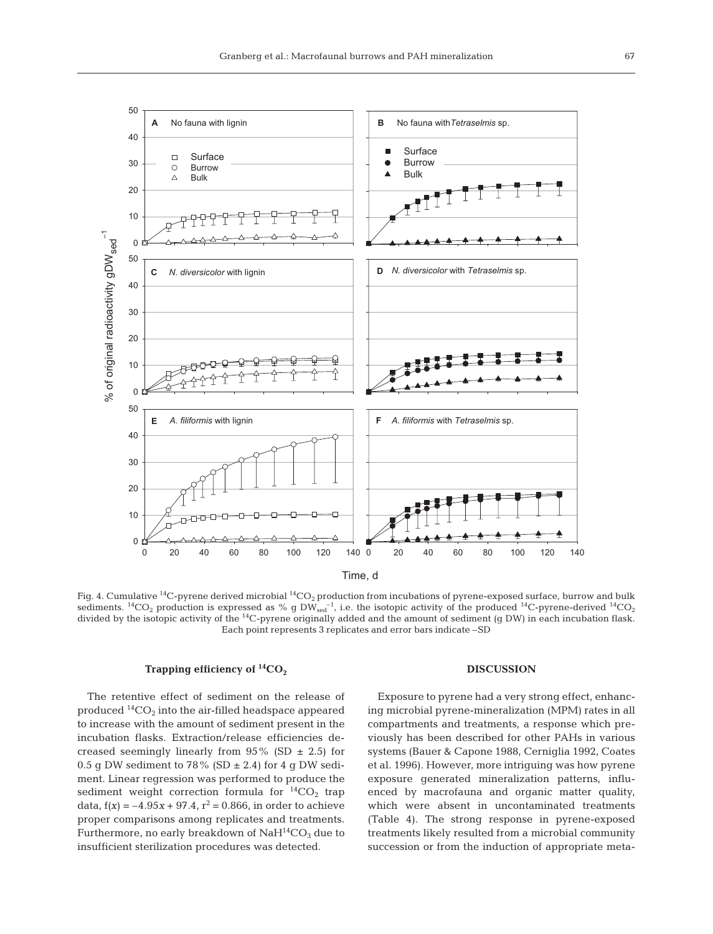

Fig. 4. Cumulative <sup>14</sup>C-pyrene derived microbial <sup>14</sup>CO<sub>2</sub> production from incubations of pyrene-exposed surface, burrow and bulk sediments. <sup>14</sup>CO<sub>2</sub> production is expressed as % g DW<sub>sed</sub><sup>-1</sup>, i.e. the isotopic activity of the produced <sup>14</sup>C-pyrene-derived <sup>14</sup>CO<sub>2</sub> divided by the isotopic activity of the <sup>14</sup>C-pyrene originally added and the amount of sediment (g DW) in each incubation flask. Each point represents 3 replicates and error bars indicate –SD

## **Trapping efficiency of <sup>14</sup>CO<sub>2</sub>**

The retentive effect of sediment on the release of produced  ${}^{14}CO_2$  into the air-filled headspace appeared to increase with the amount of sediment present in the incubation flasks. Extraction/release efficiencies decreased seemingly linearly from  $95\%$  (SD  $\pm$  2.5) for 0.5 g DW sediment to 78% (SD  $\pm$  2.4) for 4 g DW sediment. Linear regression was performed to produce the sediment weight correction formula for  ${}^{14}CO_2$  trap data,  $f(x) = -4.95x + 97.4$ ,  $r^2 = 0.866$ , in order to achieve proper comparisons among replicates and treatments. Furthermore, no early breakdown of  $NaH^{14}CO<sub>3</sub>$  due to insufficient sterilization procedures was detected.

#### **DISCUSSION**

Exposure to pyrene had a very strong effect, enhancing microbial pyrene-mineralization (MPM) rates in all compartments and treatments, a response which previously has been described for other PAHs in various systems (Bauer & Capone 1988, Cerniglia 1992, Coates et al. 1996). However, more intriguing was how pyrene exposure generated mineralization patterns, influenced by macrofauna and organic matter quality, which were absent in uncontaminated treatments (Table 4). The strong response in pyrene-exposed treatments likely resulted from a microbial community succession or from the induction of appropriate meta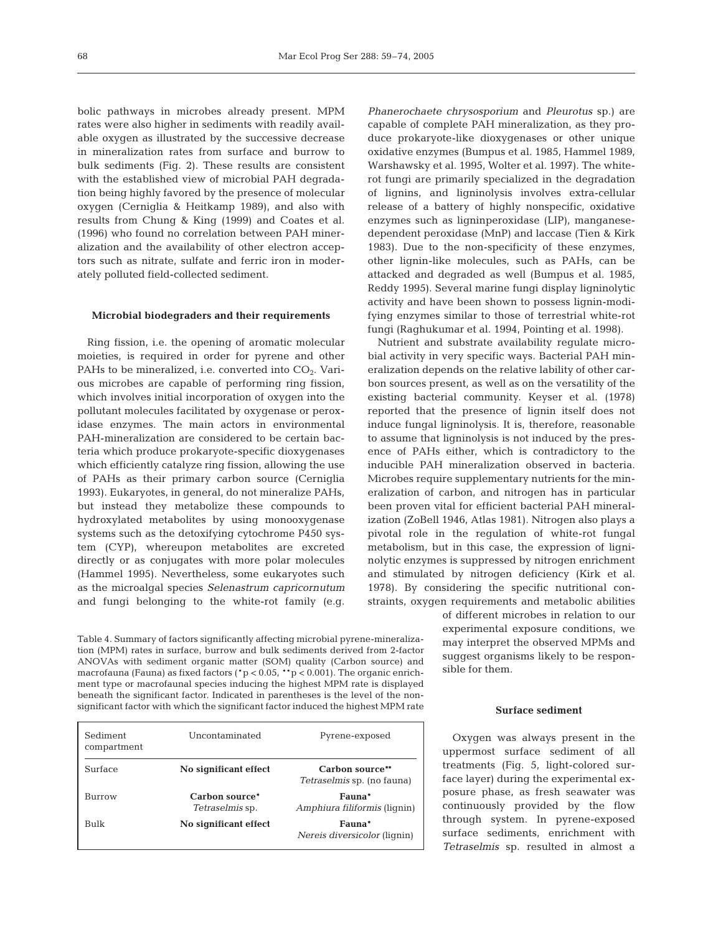bolic pathways in microbes already present. MPM rates were also higher in sediments with readily available oxygen as illustrated by the successive decrease in mineralization rates from surface and burrow to bulk sediments (Fig. 2). These results are consistent with the established view of microbial PAH degradation being highly favored by the presence of molecular oxygen (Cerniglia & Heitkamp 1989), and also with results from Chung & King (1999) and Coates et al. (1996) who found no correlation between PAH mineralization and the availability of other electron acceptors such as nitrate, sulfate and ferric iron in moderately polluted field-collected sediment.

## **Microbial biodegraders and their requirements**

Ring fission, i.e. the opening of aromatic molecular moieties, is required in order for pyrene and other PAHs to be mineralized, i.e. converted into  $CO<sub>2</sub>$ . Various microbes are capable of performing ring fission, which involves initial incorporation of oxygen into the pollutant molecules facilitated by oxygenase or peroxidase enzymes. The main actors in environmental PAH-mineralization are considered to be certain bacteria which produce prokaryote-specific dioxygenases which efficiently catalyze ring fission, allowing the use of PAHs as their primary carbon source (Cerniglia 1993). Eukaryotes, in general, do not mineralize PAHs, but instead they metabolize these compounds to hydroxylated metabolites by using monooxygenase systems such as the detoxifying cytochrome P450 system (CYP), whereupon metabolites are excreted directly or as conjugates with more polar molecules (Hammel 1995). Nevertheless, some eukaryotes such as the microalgal species *Selenastrum capricornutum* and fungi belonging to the white-rot family (e.g.

Table 4. Summary of factors significantly affecting microbial pyrene-mineralization (MPM) rates in surface, burrow and bulk sediments derived from 2-factor ANOVAs with sediment organic matter (SOM) quality (Carbon source) and macrofauna (Fauna) as fixed factors ( $p < 0.05$ ,  $* p < 0.001$ ). The organic enrichment type or macrofaunal species inducing the highest MPM rate is displayed beneath the significant factor. Indicated in parentheses is the level of the nonsignificant factor with which the significant factor induced the highest MPM rate

| Sediment<br>compartment | Uncontaminated                           | Pyrene-exposed                                |
|-------------------------|------------------------------------------|-----------------------------------------------|
| Surface                 | No significant effect                    | Carbon source**<br>Tetraselmis sp. (no fauna) |
| Burrow                  | Carbon source*<br><i>Tetraselmis</i> sp. | Fauna*<br>Amphiura filiformis (lignin)        |
| <b>Bulk</b>             | No significant effect                    | Fauna*<br><i>Nereis diversicolor</i> (lignin) |

*Phanerochaete chrysosporium* and *Pleurotus* sp.) are capable of complete PAH mineralization, as they produce prokaryote-like dioxygenases or other unique oxidative enzymes (Bumpus et al. 1985, Hammel 1989, Warshawsky et al. 1995, Wolter et al. 1997). The whiterot fungi are primarily specialized in the degradation of lignins, and ligninolysis involves extra-cellular release of a battery of highly nonspecific, oxidative enzymes such as ligninperoxidase (LIP), manganesedependent peroxidase (MnP) and laccase (Tien & Kirk 1983). Due to the non-specificity of these enzymes, other lignin-like molecules, such as PAHs, can be attacked and degraded as well (Bumpus et al. 1985, Reddy 1995). Several marine fungi display ligninolytic activity and have been shown to possess lignin-modifying enzymes similar to those of terrestrial white-rot fungi (Raghukumar et al. 1994, Pointing et al. 1998).

Nutrient and substrate availability regulate microbial activity in very specific ways. Bacterial PAH mineralization depends on the relative lability of other carbon sources present, as well as on the versatility of the existing bacterial community. Keyser et al. (1978) reported that the presence of lignin itself does not induce fungal ligninolysis. It is, therefore, reasonable to assume that ligninolysis is not induced by the presence of PAHs either, which is contradictory to the inducible PAH mineralization observed in bacteria. Microbes require supplementary nutrients for the mineralization of carbon, and nitrogen has in particular been proven vital for efficient bacterial PAH mineralization (ZoBell 1946, Atlas 1981). Nitrogen also plays a pivotal role in the regulation of white-rot fungal metabolism, but in this case, the expression of ligninolytic enzymes is suppressed by nitrogen enrichment and stimulated by nitrogen deficiency (Kirk et al. 1978). By considering the specific nutritional constraints, oxygen requirements and metabolic abilities

of different microbes in relation to our experimental exposure conditions, we may interpret the observed MPMs and suggest organisms likely to be responsible for them.

#### **Surface sediment**

Oxygen was always present in the uppermost surface sediment of all treatments (Fig. 5, light-colored surface layer) during the experimental exposure phase, as fresh seawater was continuously provided by the flow through system. In pyrene-exposed surface sediments, enrichment with *Tetraselmis* sp. resulted in almost a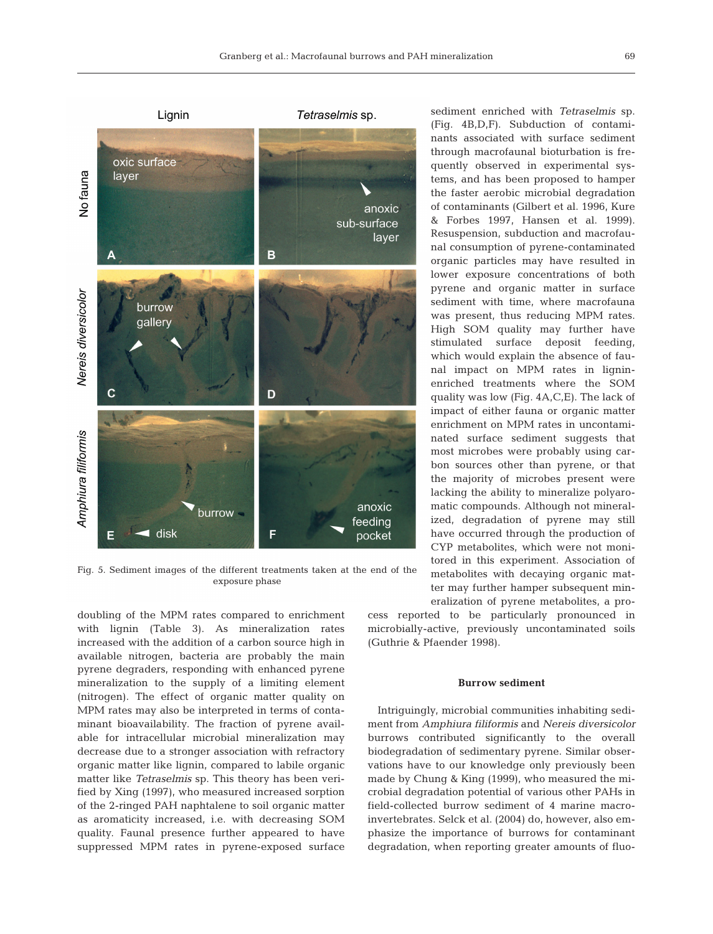

Fig. 5. Sediment images of the different treatments taken at the end of the exposure phase

doubling of the MPM rates compared to enrichment with lignin (Table 3). As mineralization rates increased with the addition of a carbon source high in available nitrogen, bacteria are probably the main pyrene degraders, responding with enhanced pyrene mineralization to the supply of a limiting element (nitrogen). The effect of organic matter quality on MPM rates may also be interpreted in terms of contaminant bioavailability. The fraction of pyrene available for intracellular microbial mineralization may decrease due to a stronger association with refractory organic matter like lignin, compared to labile organic matter like *Tetraselmis* sp. This theory has been verified by Xing (1997), who measured increased sorption of the 2-ringed PAH naphtalene to soil organic matter as aromaticity increased, i.e. with decreasing SOM quality. Faunal presence further appeared to have suppressed MPM rates in pyrene-exposed surface sediment enriched with *Tetraselmis* sp. (Fig. 4B,D,F). Subduction of contaminants associated with surface sediment through macrofaunal bioturbation is frequently observed in experimental systems, and has been proposed to hamper the faster aerobic microbial degradation of contaminants (Gilbert et al. 1996, Kure & Forbes 1997, Hansen et al. 1999). Resuspension, subduction and macrofaunal consumption of pyrene-contaminated organic particles may have resulted in lower exposure concentrations of both pyrene and organic matter in surface sediment with time, where macrofauna was present, thus reducing MPM rates. High SOM quality may further have stimulated surface deposit feeding, which would explain the absence of faunal impact on MPM rates in ligninenriched treatments where the SOM quality was low (Fig. 4A,C,E). The lack of impact of either fauna or organic matter enrichment on MPM rates in uncontaminated surface sediment suggests that most microbes were probably using carbon sources other than pyrene, or that the majority of microbes present were lacking the ability to mineralize polyaromatic compounds. Although not mineralized, degradation of pyrene may still have occurred through the production of CYP metabolites, which were not monitored in this experiment. Association of metabolites with decaying organic matter may further hamper subsequent mineralization of pyrene metabolites, a pro-

cess reported to be particularly pronounced in microbially-active, previously uncontaminated soils (Guthrie & Pfaender 1998).

#### **Burrow sediment**

Intriguingly, microbial communities inhabiting sediment from *Amphiura filiformis* and *Nereis diversicolor* burrows contributed significantly to the overall biodegradation of sedimentary pyrene. Similar observations have to our knowledge only previously been made by Chung & King (1999), who measured the microbial degradation potential of various other PAHs in field-collected burrow sediment of 4 marine macroinvertebrates. Selck et al. (2004) do, however, also emphasize the importance of burrows for contaminant degradation, when reporting greater amounts of fluo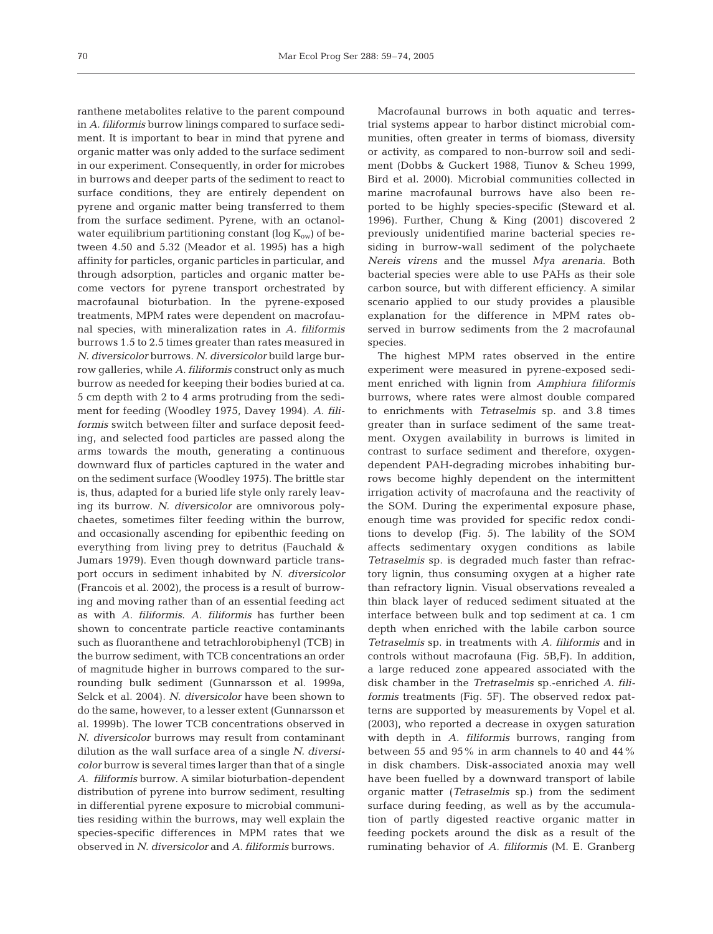ranthene metabolites relative to the parent compound in *A. filiformis* burrow linings compared to surface sediment. It is important to bear in mind that pyrene and organic matter was only added to the surface sediment in our experiment. Consequently, in order for microbes in burrows and deeper parts of the sediment to react to surface conditions, they are entirely dependent on pyrene and organic matter being transferred to them from the surface sediment. Pyrene, with an octanolwater equilibrium partitioning constant (log  $K_{ow}$ ) of between 4.50 and 5.32 (Meador et al. 1995) has a high affinity for particles, organic particles in particular, and through adsorption, particles and organic matter become vectors for pyrene transport orchestrated by macrofaunal bioturbation. In the pyrene-exposed treatments, MPM rates were dependent on macrofaunal species, with mineralization rates in *A. filiformis* burrows 1.5 to 2.5 times greater than rates measured in *N. diversicolor* burrows. *N. diversicolor* build large burrow galleries, while *A. filiformis* construct only as much burrow as needed for keeping their bodies buried at ca. 5 cm depth with 2 to 4 arms protruding from the sediment for feeding (Woodley 1975, Davey 1994). *A. filiformis* switch between filter and surface deposit feeding, and selected food particles are passed along the arms towards the mouth, generating a continuous downward flux of particles captured in the water and on the sediment surface (Woodley 1975). The brittle star is, thus, adapted for a buried life style only rarely leaving its burrow. *N. diversicolor* are omnivorous polychaetes, sometimes filter feeding within the burrow, and occasionally ascending for epibenthic feeding on everything from living prey to detritus (Fauchald & Jumars 1979). Even though downward particle transport occurs in sediment inhabited by *N. diversicolor* (Francois et al. 2002), the process is a result of burrowing and moving rather than of an essential feeding act as with *A. filiformis*. *A. filiformis* has further been shown to concentrate particle reactive contaminants such as fluoranthene and tetrachlorobiphenyl (TCB) in the burrow sediment, with TCB concentrations an order of magnitude higher in burrows compared to the surrounding bulk sediment (Gunnarsson et al. 1999a, Selck et al. 2004). *N. diversicolor* have been shown to do the same, however, to a lesser extent (Gunnarsson et al. 1999b). The lower TCB concentrations observed in *N. diversicolor* burrows may result from contaminant dilution as the wall surface area of a single *N. diversicolor* burrow is several times larger than that of a single *A. filiformis* burrow. A similar bioturbation-dependent distribution of pyrene into burrow sediment, resulting in differential pyrene exposure to microbial communities residing within the burrows, may well explain the species-specific differences in MPM rates that we observed in *N. diversicolor* and *A. filiformis* burrows.

Macrofaunal burrows in both aquatic and terrestrial systems appear to harbor distinct microbial communities, often greater in terms of biomass, diversity or activity, as compared to non-burrow soil and sediment (Dobbs & Guckert 1988, Tiunov & Scheu 1999, Bird et al. 2000). Microbial communities collected in marine macrofaunal burrows have also been reported to be highly species-specific (Steward et al. 1996). Further, Chung & King (2001) discovered 2 previously unidentified marine bacterial species residing in burrow-wall sediment of the polychaete *Nereis virens* and the mussel *Mya arenaria*. Both bacterial species were able to use PAHs as their sole carbon source, but with different efficiency. A similar scenario applied to our study provides a plausible explanation for the difference in MPM rates observed in burrow sediments from the 2 macrofaunal species.

The highest MPM rates observed in the entire experiment were measured in pyrene-exposed sediment enriched with lignin from *Amphiura filiformis* burrows, where rates were almost double compared to enrichments with *Tetraselmis* sp. and 3.8 times greater than in surface sediment of the same treatment. Oxygen availability in burrows is limited in contrast to surface sediment and therefore, oxygendependent PAH-degrading microbes inhabiting burrows become highly dependent on the intermittent irrigation activity of macrofauna and the reactivity of the SOM. During the experimental exposure phase, enough time was provided for specific redox conditions to develop (Fig. 5). The lability of the SOM affects sedimentary oxygen conditions as labile *Tetraselmis* sp. is degraded much faster than refractory lignin, thus consuming oxygen at a higher rate than refractory lignin. Visual observations revealed a thin black layer of reduced sediment situated at the interface between bulk and top sediment at ca. 1 cm depth when enriched with the labile carbon source *Tetraselmis* sp. in treatments with *A. filiformis* and in controls without macrofauna (Fig. 5B,F). In addition, a large reduced zone appeared associated with the disk chamber in the *Tretraselmis* sp.-enriched *A*. *filiformis* treatments (Fig. 5F). The observed redox patterns are supported by measurements by Vopel et al. (2003), who reported a decrease in oxygen saturation with depth in *A. filiformis* burrows, ranging from between 55 and 95% in arm channels to 40 and 44% in disk chambers. Disk-associated anoxia may well have been fuelled by a downward transport of labile organic matter (*Tetraselmis* sp.) from the sediment surface during feeding, as well as by the accumulation of partly digested reactive organic matter in feeding pockets around the disk as a result of the ruminating behavior of *A. filiformis* (M. E. Granberg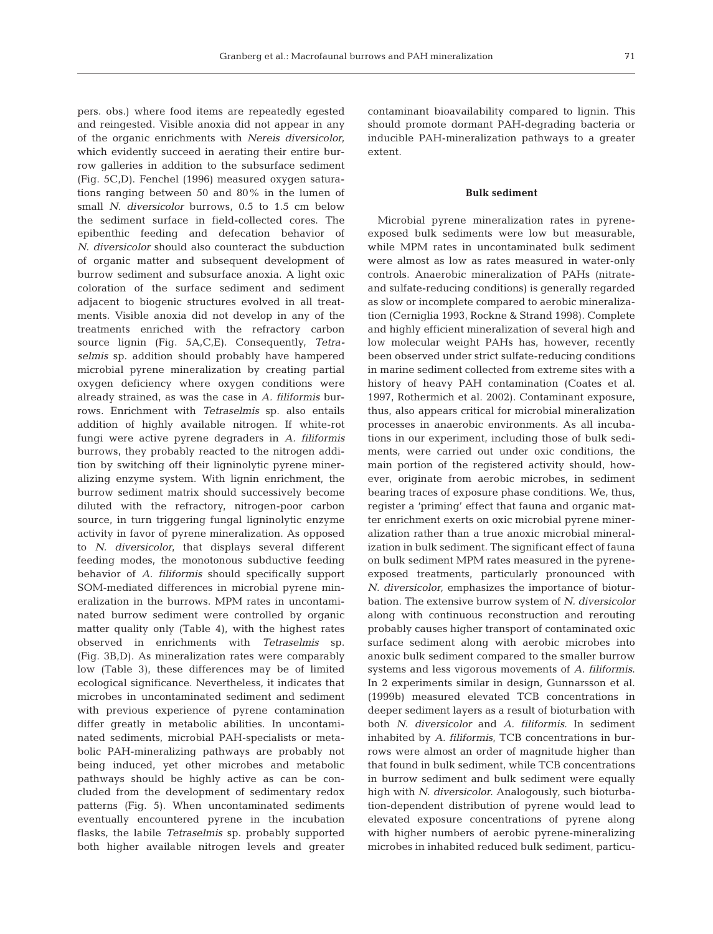pers. obs.) where food items are repeatedly egested and reingested. Visible anoxia did not appear in any of the organic enrichments with *Nereis diversicolor*, which evidently succeed in aerating their entire burrow galleries in addition to the subsurface sediment (Fig. 5C,D). Fenchel (1996) measured oxygen saturations ranging between 50 and 80% in the lumen of small *N. diversicolor* burrows, 0.5 to 1.5 cm below the sediment surface in field-collected cores. The epibenthic feeding and defecation behavior of *N. diversicolor* should also counteract the subduction of organic matter and subsequent development of burrow sediment and subsurface anoxia. A light oxic coloration of the surface sediment and sediment adjacent to biogenic structures evolved in all treatments. Visible anoxia did not develop in any of the treatments enriched with the refractory carbon source lignin (Fig. 5A,C,E). Consequently, *Tetraselmis* sp. addition should probably have hampered microbial pyrene mineralization by creating partial oxygen deficiency where oxygen conditions were already strained, as was the case in *A. filiformis* burrows. Enrichment with *Tetraselmis* sp. also entails addition of highly available nitrogen. If white-rot fungi were active pyrene degraders in *A. filiformis* burrows, they probably reacted to the nitrogen addition by switching off their ligninolytic pyrene mineralizing enzyme system. With lignin enrichment, the burrow sediment matrix should successively become diluted with the refractory, nitrogen-poor carbon source, in turn triggering fungal ligninolytic enzyme activity in favor of pyrene mineralization. As opposed to *N. diversicolor*, that displays several different feeding modes, the monotonous subductive feeding behavior of *A. filiformis* should specifically support SOM-mediated differences in microbial pyrene mineralization in the burrows. MPM rates in uncontaminated burrow sediment were controlled by organic matter quality only (Table 4), with the highest rates observed in enrichments with *Tetraselmis* sp. (Fig. 3B,D). As mineralization rates were comparably low (Table 3), these differences may be of limited ecological significance. Nevertheless, it indicates that microbes in uncontaminated sediment and sediment with previous experience of pyrene contamination differ greatly in metabolic abilities. In uncontaminated sediments, microbial PAH-specialists or metabolic PAH-mineralizing pathways are probably not being induced, yet other microbes and metabolic pathways should be highly active as can be concluded from the development of sedimentary redox patterns (Fig. 5). When uncontaminated sediments eventually encountered pyrene in the incubation flasks, the labile *Tetraselmis* sp. probably supported both higher available nitrogen levels and greater

contaminant bioavailability compared to lignin. This should promote dormant PAH-degrading bacteria or inducible PAH-mineralization pathways to a greater extent.

#### **Bulk sediment**

Microbial pyrene mineralization rates in pyreneexposed bulk sediments were low but measurable, while MPM rates in uncontaminated bulk sediment were almost as low as rates measured in water-only controls. Anaerobic mineralization of PAHs (nitrateand sulfate-reducing conditions) is generally regarded as slow or incomplete compared to aerobic mineralization (Cerniglia 1993, Rockne & Strand 1998). Complete and highly efficient mineralization of several high and low molecular weight PAHs has, however, recently been observed under strict sulfate-reducing conditions in marine sediment collected from extreme sites with a history of heavy PAH contamination (Coates et al. 1997, Rothermich et al. 2002). Contaminant exposure, thus, also appears critical for microbial mineralization processes in anaerobic environments. As all incubations in our experiment, including those of bulk sediments, were carried out under oxic conditions, the main portion of the registered activity should, however, originate from aerobic microbes, in sediment bearing traces of exposure phase conditions. We, thus, register a 'priming' effect that fauna and organic matter enrichment exerts on oxic microbial pyrene mineralization rather than a true anoxic microbial mineralization in bulk sediment. The significant effect of fauna on bulk sediment MPM rates measured in the pyreneexposed treatments, particularly pronounced with *N. diversicolor*, emphasizes the importance of bioturbation. The extensive burrow system of *N. diversicolor* along with continuous reconstruction and rerouting probably causes higher transport of contaminated oxic surface sediment along with aerobic microbes into anoxic bulk sediment compared to the smaller burrow systems and less vigorous movements of *A. filiformis*. In 2 experiments similar in design, Gunnarsson et al. (1999b) measured elevated TCB concentrations in deeper sediment layers as a result of bioturbation with both *N. diversicolor* and *A. filiformis*. In sediment inhabited by *A. filiformis*, TCB concentrations in burrows were almost an order of magnitude higher than that found in bulk sediment, while TCB concentrations in burrow sediment and bulk sediment were equally high with *N. diversicolor*. Analogously, such bioturbation-dependent distribution of pyrene would lead to elevated exposure concentrations of pyrene along with higher numbers of aerobic pyrene-mineralizing microbes in inhabited reduced bulk sediment, particu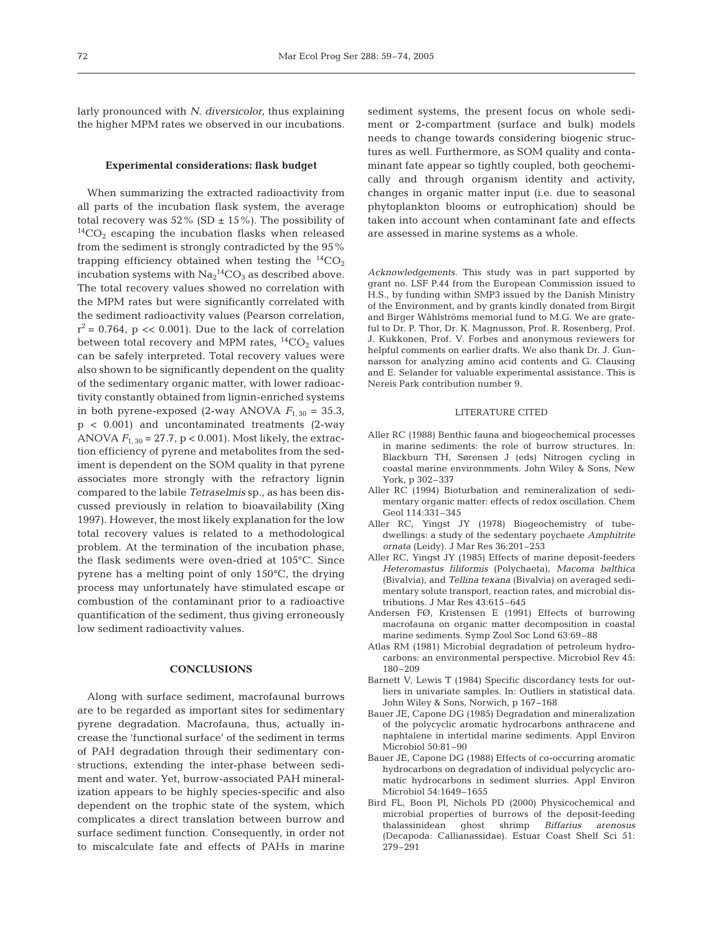larly pronounced with *N. diversicolor*, thus explaining the higher MPM rates we observed in our incubations.

## **Experimental considerations: flask budget**

When summarizing the extracted radioactivity from all parts of the incubation flask system, the average total recovery was  $52\%$  (SD  $\pm$  15%). The possibility of  ${}^{14}CO_2$  escaping the incubation flasks when released from the sediment is strongly contradicted by the 95% trapping efficiency obtained when testing the  ${}^{14}CO_2$ incubation systems with  $\mathrm{Na_2}^{14}\mathrm{CO_3}$  as described above. The total recovery values showed no correlation with the MPM rates but were significantly correlated with the sediment radioactivity values (Pearson correlation,  $r^2 = 0.764$ , p << 0.001). Due to the lack of correlation between total recovery and MPM rates,  ${}^{14}CO_2$  values can be safely interpreted. Total recovery values were also shown to be significantly dependent on the quality of the sedimentary organic matter, with lower radioactivity constantly obtained from lignin-enriched systems in both pyrene-exposed (2-way ANOVA  $F_{1,30} = 35.3$ , p < 0.001) and uncontaminated treatments (2-way ANOVA *F*1, 30 = 27.7, p < 0.001). Most likely, the extraction efficiency of pyrene and metabolites from the sediment is dependent on the SOM quality in that pyrene associates more strongly with the refractory lignin compared to the labile *Tetraselmis* sp., as has been discussed previously in relation to bioavailability (Xing 1997). However, the most likely explanation for the low total recovery values is related to a methodological problem. At the termination of the incubation phase, the flask sediments were oven-dried at 105°C. Since pyrene has a melting point of only 150°C, the drying process may unfortunately have stimulated escape or combustion of the contaminant prior to a radioactive quantification of the sediment, thus giving erroneously low sediment radioactivity values.

#### **CONCLUSIONS**

Along with surface sediment, macrofaunal burrows are to be regarded as important sites for sedimentary pyrene degradation. Macrofauna, thus, actually increase the 'functional surface' of the sediment in terms of PAH degradation through their sedimentary constructions, extending the inter-phase between sediment and water. Yet, burrow-associated PAH mineralization appears to be highly species-specific and also dependent on the trophic state of the system, which complicates a direct translation between burrow and surface sediment function. Consequently, in order not to miscalculate fate and effects of PAHs in marine

sediment systems, the present focus on whole sediment or 2-compartment (surface and bulk) models needs to change towards considering biogenic structures as well. Furthermore, as SOM quality and contaminant fate appear so tightly coupled, both geochemically and through organism identity and activity, changes in organic matter input (i.e. due to seasonal phytoplankton blooms or eutrophication) should be taken into account when contaminant fate and effects are assessed in marine systems as a whole.

*Acknowledgements*. This study was in part supported by grant no. LSF P.44 from the European Commission issued to H.S., by funding within SMP3 issued by the Danish Ministry of the Environment, and by grants kindly donated from Birgit and Birger Wåhlströms memorial fund to M.G. We are grateful to Dr. P. Thor, Dr. K. Magnusson, Prof. R. Rosenberg, Prof. J. Kukkonen, Prof. V. Forbes and anonymous reviewers for helpful comments on earlier drafts. We also thank Dr. J. Gunnarsson for analyzing amino acid contents and G. Clausing and E. Selander for valuable experimental assistance. This is Nereis Park contribution number 9.

### LITERATURE CITED

- Aller RC (1988) Benthic fauna and biogeochemical processes in marine sediments: the role of burrow structures. In: Blackburn TH, Sørensen J (eds) Nitrogen cycling in coastal marine environmments. John Wiley & Sons, New York, p 302–337
- Aller RC (1994) Bioturbation and remineralization of sedimentary organic matter: effects of redox oscillation. Chem Geol 114:331–345
- Aller RC, Yingst JY (1978) Biogeochemistry of tubedwellings: a study of the sedentary poychaete *Amphitrite ornata* (Leidy). J Mar Res 36:201–253
- Aller RC, Yingst JY (1985) Effects of marine deposit-feeders *Heteromastus filiformis* (Polychaeta), *Macoma balthica* (Bivalvia), and *Tellina texana* (Bivalvia) on averaged sedimentary solute transport, reaction rates, and microbial distributions. J Mar Res 43:615–645
- Andersen FØ, Kristensen E (1991) Effects of burrowing macrofauna on organic matter decomposition in coastal marine sediments. Symp Zool Soc Lond 63:69–88
- Atlas RM (1981) Microbial degradation of petroleum hydrocarbons: an environmental perspective. Microbiol Rev 45: 180–209
- Barnett V, Lewis T (1984) Specific discordancy tests for outliers in univariate samples. In: Outliers in statistical data. John Wiley & Sons, Norwich, p 167–168
- Bauer JE, Capone DG (1985) Degradation and mineralization of the polycyclic aromatic hydrocarbons anthracene and naphtalene in intertidal marine sediments. Appl Environ Microbiol 50:81–90
- Bauer JE, Capone DG (1988) Effects of co-occurring aromatic hydrocarbons on degradation of individual polycyclic aromatic hydrocarbons in sediment slurries. Appl Environ Microbiol 54:1649–1655
- Bird FL, Boon PI, Nichols PD (2000) Physicochemical and microbial properties of burrows of the deposit-feeding thalassinidean ghost shrimp *Biffarius arenosus* (Decapoda: Callianassidae). Estuar Coast Shelf Sci 51: 279–291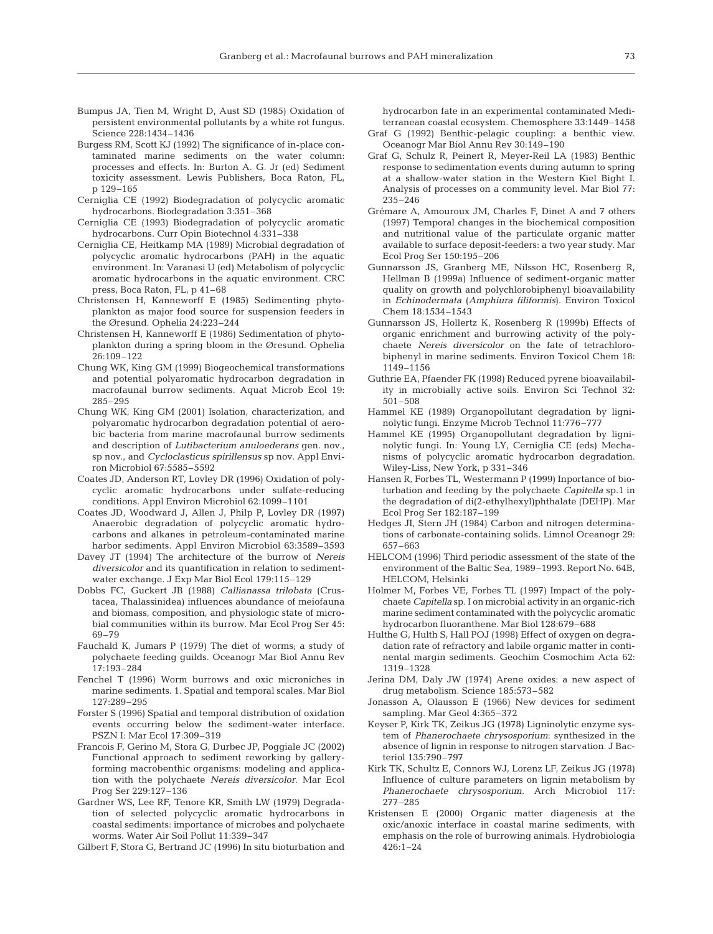- Bumpus JA, Tien M, Wright D, Aust SD (1985) Oxidation of persistent environmental pollutants by a white rot fungus. Science 228:1434–1436
- Burgess RM, Scott KJ (1992) The significance of in-place contaminated marine sediments on the water column: processes and effects. In: Burton A. G. Jr (ed) Sediment toxicity assessment. Lewis Publishers, Boca Raton, FL, p 129–165
- Cerniglia CE (1992) Biodegradation of polycyclic aromatic hydrocarbons. Biodegradation 3:351–368
- Cerniglia CE (1993) Biodegradation of polycyclic aromatic hydrocarbons. Curr Opin Biotechnol 4:331–338
- Cerniglia CE, Heitkamp MA (1989) Microbial degradation of polycyclic aromatic hydrocarbons (PAH) in the aquatic environment. In: Varanasi U (ed) Metabolism of polycyclic aromatic hydrocarbons in the aquatic environment. CRC press, Boca Raton, FL, p 41–68
- Christensen H, Kanneworff E (1985) Sedimenting phytoplankton as major food source for suspension feeders in the Øresund. Ophelia 24:223–244
- Christensen H, Kanneworff E (1986) Sedimentation of phytoplankton during a spring bloom in the Øresund. Ophelia 26:109–122
- Chung WK, King GM (1999) Biogeochemical transformations and potential polyaromatic hydrocarbon degradation in macrofaunal burrow sediments. Aquat Microb Ecol 19: 285–295
- Chung WK, King GM (2001) Isolation, characterization, and polyaromatic hydrocarbon degradation potential of aerobic bacteria from marine macrofaunal burrow sediments and description of *Lutibacterium anuloederans* gen. nov., sp nov., and *Cycloclasticus spirillensus* sp nov. Appl Environ Microbiol 67:5585–5592
- Coates JD, Anderson RT, Lovley DR (1996) Oxidation of polycyclic aromatic hydrocarbons under sulfate-reducing conditions. Appl Environ Microbiol 62:1099–1101
- Coates JD, Woodward J, Allen J, Philp P, Lovley DR (1997) Anaerobic degradation of polycyclic aromatic hydrocarbons and alkanes in petroleum-contaminated marine harbor sediments. Appl Environ Microbiol 63:3589–3593
- Davey JT (1994) The architecture of the burrow of *Nereis diversicolor* and its quantification in relation to sedimentwater exchange. J Exp Mar Biol Ecol 179:115–129
- Dobbs FC, Guckert JB (1988) *Callianassa trilobata* (Crustacea, Thalassinidea) influences abundance of meiofauna and biomass, composition, and physiologic state of microbial communities within its burrow. Mar Ecol Prog Ser 45: 69–79
- Fauchald K, Jumars P (1979) The diet of worms; a study of polychaete feeding guilds. Oceanogr Mar Biol Annu Rev 17:193–284
- Fenchel T (1996) Worm burrows and oxic microniches in marine sediments. 1. Spatial and temporal scales. Mar Biol 127:289–295
- Forster S (1996) Spatial and temporal distribution of oxidation events occurring below the sediment-water interface. PSZN I: Mar Ecol 17:309–319
- Francois F, Gerino M, Stora G, Durbec JP, Poggiale JC (2002) Functional approach to sediment reworking by galleryforming macrobenthic organisms: modeling and application with the polychaete *Nereis diversicolor*. Mar Ecol Prog Ser 229:127–136
- Gardner WS, Lee RF, Tenore KR, Smith LW (1979) Degradation of selected polycyclic aromatic hydrocarbons in coastal sediments: importance of microbes and polychaete worms. Water Air Soil Pollut 11:339–347
- Gilbert F, Stora G, Bertrand JC (1996) In situ bioturbation and

hydrocarbon fate in an experimental contaminated Mediterranean coastal ecosystem. Chemosphere 33:1449–1458

- Graf G (1992) Benthic-pelagic coupling: a benthic view. Oceanogr Mar Biol Annu Rev 30:149–190
- Graf G, Schulz R, Peinert R, Meyer-Reil LA (1983) Benthic response to sedimentation events during autumn to spring at a shallow-water station in the Western Kiel Bight I. Analysis of processes on a community level. Mar Biol 77: 235–246
- Grémare A, Amouroux JM, Charles F, Dinet A and 7 others (1997) Temporal changes in the biochemical composition and nutritional value of the particulate organic matter available to surface deposit-feeders: a two year study. Mar Ecol Prog Ser 150:195–206
- Gunnarsson JS, Granberg ME, Nilsson HC, Rosenberg R, Hellman B (1999a) Influence of sediment-organic matter quality on growth and polychlorobiphenyl bioavailability in *Echinodermata* (*Amphiura filiformis*). Environ Toxicol Chem 18:1534–1543
- Gunnarsson JS, Hollertz K, Rosenberg R (1999b) Effects of organic enrichment and burrowing activity of the polychaete *Nereis diversicolor* on the fate of tetrachlorobiphenyl in marine sediments. Environ Toxicol Chem 18: 1149–1156
- Guthrie EA, Pfaender FK (1998) Reduced pyrene bioavailability in microbially active soils. Environ Sci Technol 32: 501–508
- Hammel KE (1989) Organopollutant degradation by ligninolytic fungi. Enzyme Microb Technol 11:776–777
- Hammel KE (1995) Organopollutant degradation by ligninolytic fungi. In: Young LY, Cerniglia CE (eds) Mechanisms of polycyclic aromatic hydrocarbon degradation. Wiley-Liss, New York, p 331–346
- Hansen R, Forbes TL, Westermann P (1999) Inportance of bioturbation and feeding by the polychaete *Capitella* sp.1 in the degradation of di(2-ethylhexyl)phthalate (DEHP). Mar Ecol Prog Ser 182:187–199
- Hedges JI, Stern JH (1984) Carbon and nitrogen determinations of carbonate-containing solids. Limnol Oceanogr 29: 657–663
- HELCOM (1996) Third periodic assessment of the state of the environment of the Baltic Sea, 1989–1993. Report No. 64B, HELCOM, Helsinki
- Holmer M, Forbes VE, Forbes TL (1997) Impact of the polychaete *Capitella* sp. I on microbial activity in an organic-rich marine sediment contaminated with the polycyclic aromatic hydrocarbon fluoranthene. Mar Biol 128:679–688
- Hulthe G, Hulth S, Hall POJ (1998) Effect of oxygen on degradation rate of refractory and labile organic matter in continental margin sediments. Geochim Cosmochim Acta 62: 1319–1328
- Jerina DM, Daly JW (1974) Arene oxides: a new aspect of drug metabolism. Science 185:573–582
- Jonasson A, Olausson E (1966) New devices for sediment sampling. Mar Geol 4:365–372
- Keyser P, Kirk TK, Zeikus JG (1978) Ligninolytic enzyme system of *Phanerochaete chrysosporium*: synthesized in the absence of lignin in response to nitrogen starvation. J Bacteriol 135:790–797
- Kirk TK, Schultz E, Connors WJ, Lorenz LF, Zeikus JG (1978) Influence of culture parameters on lignin metabolism by *Phanerochaete chrysosporium*. Arch Microbiol 117: 277–285
- Kristensen E (2000) Organic matter diagenesis at the oxic/anoxic interface in coastal marine sediments, with emphasis on the role of burrowing animals. Hydrobiologia 426:1–24